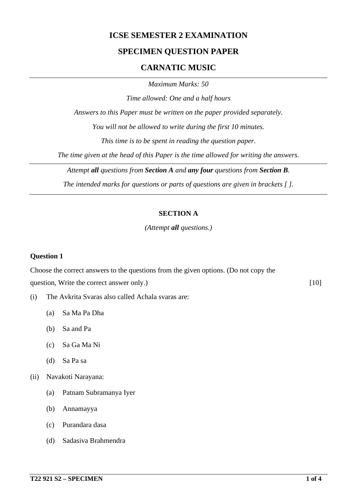# **ICSE SEMESTER 2 EXAMINATION**

# **SPECIMEN QUESTION PAPER**

## **CARNATIC MUSIC**

*Maximum Marks: 50*

*Time allowed: One and a half hours*

*Answers to this Paper must be written on the paper provided separately.*

*You will not be allowed to write during the first 10 minutes.*

*This time is to be spent in reading the question paper.*

*The time given at the head of this Paper is the time allowed for writing the answers.*

*Attempt all questions from Section A and any four questions from Section B.*

*The intended marks for questions or parts of questions are given in brackets [ ].*

#### **SECTION A**

*(Attempt all questions.)*

#### **Question 1**

Choose the correct answers to the questions from the given options. (Do not copy the question, Write the correct answer only.) [10]

- (i) The Avkrita Svaras also called Achala svaras are:
	- (a) Sa Ma Pa Dha
	- (b) Sa and Pa
	- (c) Sa Ga Ma Ni
	- (d) Sa Pa sa

(ii) Navakoti Narayana:

- (a) Patnam Subramanya Iyer
- (b) Annamayya
- (c) Purandara dasa
- (d) Sadasiva Brahmendra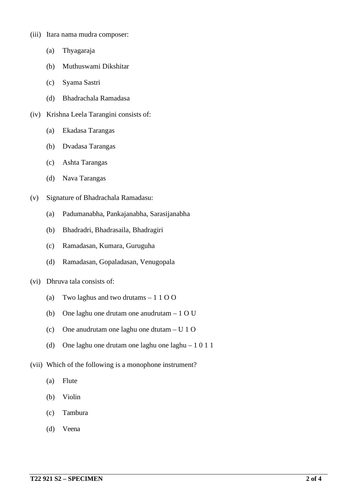- (iii) Itara nama mudra composer:
	- (a) Thyagaraja
	- (b) Muthuswami Dikshitar
	- (c) Syama Sastri
	- (d) Bhadrachala Ramadasa
- (iv) Krishna Leela Tarangini consists of:
	- (a) Ekadasa Tarangas
	- (b) Dvadasa Tarangas
	- (c) Ashta Tarangas
	- (d) Nava Tarangas
- (v) Signature of Bhadrachala Ramadasu:
	- (a) Padumanabha, Pankajanabha, Sarasijanabha
	- (b) Bhadradri, Bhadrasaila, Bhadragiri
	- (c) Ramadasan, Kumara, Guruguha
	- (d) Ramadasan, Gopaladasan, Venugopala
- (vi) Dhruva tala consists of:
	- (a) Two laghus and two drutams 1 1 O O
	- (b) One laghu one drutam one anudrutam 1 O U
	- (c) One anudrutam one laghu one dtutam U 1 O
	- (d) One laghu one drutam one laghu one laghu 1 0 1 1
- (vii) Which of the following is a monophone instrument?
	- (a) Flute
	- (b) Violin
	- (c) Tambura
	- (d) Veena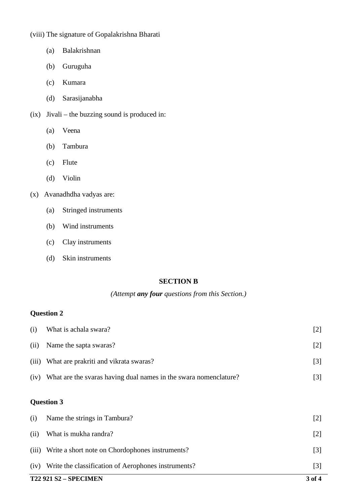(viii) The signature of Gopalakrishna Bharati

- (a) Balakrishnan
- (b) Guruguha
- (c) Kumara
- (d) Sarasijanabha
- (ix) Jivali the buzzing sound is produced in:
	- (a) Veena
	- (b) Tambura
	- (c) Flute
	- (d) Violin
- (x) Avanadhdha vadyas are:
	- (a) Stringed instruments
	- (b) Wind instruments
	- (c) Clay instruments
	- (d) Skin instruments

## **SECTION B**

# *(Attempt any four questions from this Section.)*

# **Question 2**

|       | <b>T22 921 S2 - SPECIMEN</b>                                     |       |
|-------|------------------------------------------------------------------|-------|
| (iv)  | Write the classification of Aerophones instruments?              | $[3]$ |
| (iii) | Write a short note on Chordophones instruments?                  | $[3]$ |
| (ii)  | What is mukha randra?                                            | $[2]$ |
| (i)   | Name the strings in Tambura?                                     | $[2]$ |
|       | <b>Question 3</b>                                                |       |
| (iv)  | What are the svaras having dual names in the swara nomenclature? | $[3]$ |
| (iii) | What are prakriti and vikrata swaras?                            | $[3]$ |
| (ii)  | Name the sapta swaras?                                           | $[2]$ |
| (i)   | What is achala swara?                                            | $[2]$ |